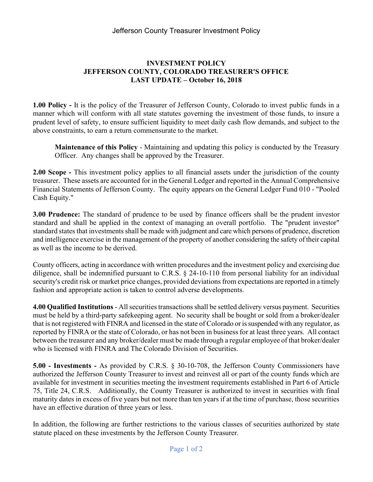## INVESTMENT POLICY JEFFERSON COUNTY, COLORADO TREASURER'S OFFICE LAST UPDATE – October 16, 2018

1.00 Policy - It is the policy of the Treasurer of Jefferson County, Colorado to invest public funds in a manner which will conform with all state statutes governing the investment of those funds, to insure a prudent level of safety, to ensure sufficient liquidity to meet daily cash flow demands, and subject to the above constraints, to earn a return commensurate to the market.

Maintenance of this Policy - Maintaining and updating this policy is conducted by the Treasury Officer. Any changes shall be approved by the Treasurer.

2.00 Scope - This investment policy applies to all financial assets under the jurisdiction of the county treasurer. These assets are accounted for in the General Ledger and reported in the Annual Comprehensive Financial Statements of Jefferson County. The equity appears on the General Ledger Fund 010 - "Pooled Cash Equity."

3.00 Prudence: The standard of prudence to be used by finance officers shall be the prudent investor standard and shall be applied in the context of managing an overall portfolio. The "prudent investor" standard states that investments shall be made with judgment and care which persons of prudence, discretion and intelligence exercise in the management of the property of another considering the safety of their capital as well as the income to be derived.

County officers, acting in accordance with written procedures and the investment policy and exercising due diligence, shall be indemnified pursuant to C.R.S. § 24-10-110 from personal liability for an individual security's credit risk or market price changes, provided deviations from expectations are reported in a timely fashion and appropriate action is taken to control adverse developments.

4.00 Qualified Institutions - All securities transactions shall be settled delivery versus payment. Securities must be held by a third-party safekeeping agent. No security shall be bought or sold from a broker/dealer that is not registered with FINRA and licensed in the state of Colorado or is suspended with any regulator, as reported by FINRA or the state of Colorado, or has not been in business for at least three years. All contact between the treasurer and any broker/dealer must be made through a regular employee of that broker/dealer who is licensed with FINRA and The Colorado Division of Securities.

5.00 - Investments - As provided by C.R.S. § 30-10-708, the Jefferson County Commissioners have authorized the Jefferson County Treasurer to invest and reinvest all or part of the county funds which are available for investment in securities meeting the investment requirements established in Part 6 of Article 75, Title 24, C.R.S. Additionally, the County Treasurer is authorized to invest in securities with final maturity dates in excess of five years but not more than ten years if at the time of purchase, those securities have an effective duration of three years or less.

In addition, the following are further restrictions to the various classes of securities authorized by state statute placed on these investments by the Jefferson County Treasurer.